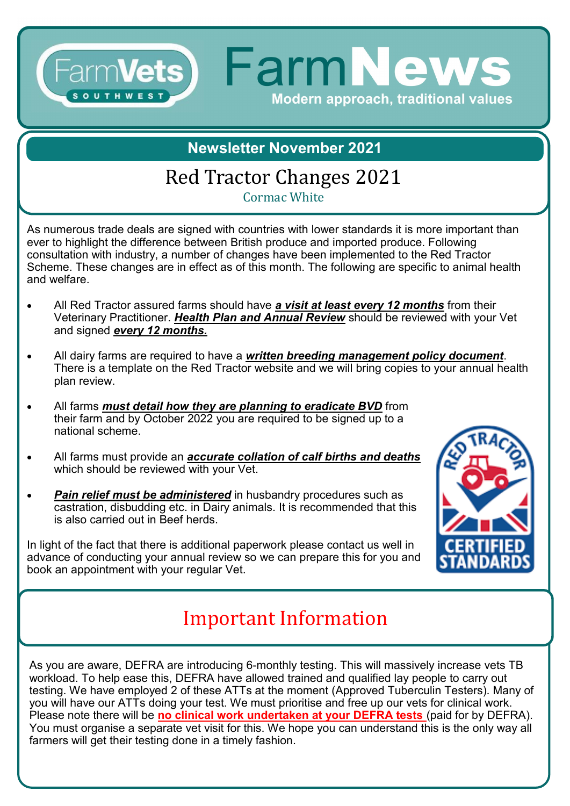### Farm**Vets Farm News** Modern approach, traditional values OUT

#### **Newsletter November 2021**

# Red Tractor Changes 2021

Cormac White

As numerous trade deals are signed with countries with lower standards it is more important than ever to highlight the difference between British produce and imported produce. Following consultation with industry, a number of changes have been implemented to the Red Tractor Scheme. These changes are in effect as of this month. The following are specific to animal health and welfare.

- All Red Tractor assured farms should have *a visit at least every 12 months* from their Veterinary Practitioner. *Health Plan and Annual Review* should be reviewed with your Vet and signed *every 12 months.*
- All dairy farms are required to have a *written breeding management policy document*. There is a template on the Red Tractor website and we will bring copies to your annual health plan review.
- All farms *must detail how they are planning to eradicate BVD* from their farm and by October 2022 you are required to be signed up to a national scheme.
- All farms must provide an *accurate collation of calf births and deaths* which should be reviewed with your Vet.
- **Pain relief must be administered** in husbandry procedures such as castration, disbudding etc. in Dairy animals. It is recommended that this is also carried out in Beef herds.

In light of the fact that there is additional paperwork please contact us well in advance of conducting your annual review so we can prepare this for you and book an appointment with your regular Vet.



# Important Information

As you are aware, DEFRA are introducing 6-monthly testing. This will massively increase vets TB workload. To help ease this, DEFRA have allowed trained and qualified lay people to carry out testing. We have employed 2 of these ATTs at the moment (Approved Tuberculin Testers). Many of you will have our ATTs doing your test. We must prioritise and free up our vets for clinical work. Please note there will be **no clinical work undertaken at your DEFRA tests** (paid for by DEFRA). You must organise a separate vet visit for this. We hope you can understand this is the only way all farmers will get their testing done in a timely fashion.